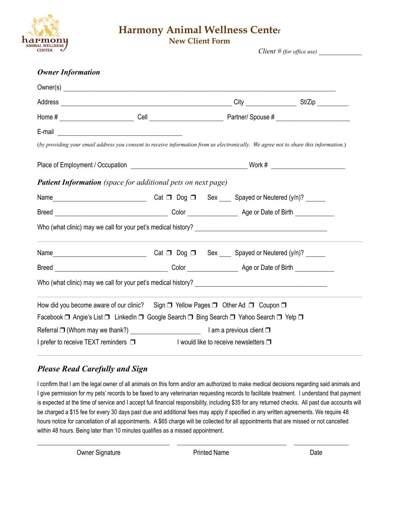

## **Harmony Animal Wellness Cente**r

**New Client Form**

*Client # (for office use)* 

| <b>Owner Information</b>                                                                                                                                                                                                            |  |                                               |  |  |  |
|-------------------------------------------------------------------------------------------------------------------------------------------------------------------------------------------------------------------------------------|--|-----------------------------------------------|--|--|--|
| Owner(s) <u>example</u> and the contract of the contract of the contract of the contract of the contract of the contract of the contract of the contract of the contract of the contract of the contract of the contract of the con |  |                                               |  |  |  |
|                                                                                                                                                                                                                                     |  |                                               |  |  |  |
|                                                                                                                                                                                                                                     |  |                                               |  |  |  |
|                                                                                                                                                                                                                                     |  |                                               |  |  |  |
| (by providing your email address you consent to receive information from us electronically. We agree not to share this information.)                                                                                                |  |                                               |  |  |  |
|                                                                                                                                                                                                                                     |  |                                               |  |  |  |
| <b>Patient Information</b> (space for additional pets on next page)                                                                                                                                                                 |  |                                               |  |  |  |
|                                                                                                                                                                                                                                     |  |                                               |  |  |  |
|                                                                                                                                                                                                                                     |  |                                               |  |  |  |
|                                                                                                                                                                                                                                     |  |                                               |  |  |  |
|                                                                                                                                                                                                                                     |  |                                               |  |  |  |
|                                                                                                                                                                                                                                     |  |                                               |  |  |  |
|                                                                                                                                                                                                                                     |  |                                               |  |  |  |
| How did you become aware of our clinic? Sign □ Yellow Pages □ Other Ad □ Coupon □                                                                                                                                                   |  |                                               |  |  |  |
| Facebook □ Angie's List □ LinkedIn □ Google Search □ Bing Search □ Yahoo Search □ Yelp □                                                                                                                                            |  |                                               |  |  |  |
|                                                                                                                                                                                                                                     |  |                                               |  |  |  |
| I prefer to receive TEXT reminders $\Box$                                                                                                                                                                                           |  | I would like to receive newsletters $\square$ |  |  |  |

## *Please Read Carefully and Sign*

I confirm that I am the legal owner of all animals on this form and/or am authorized to make medical decisions regarding said animals and I give permission for my pets' records to be faxed to any veterinarian requesting records to facilitate treatment. I understand that payment is expected at the time of service and I accept full financial responsibility, including \$35 for any returned checks. All past due accounts will be charged a \$15 fee for every 30 days past due and additional fees may apply if specified in any written agreements. We require 48 hours notice for cancellation of all appointments. A \$65 charge will be collected for all appointments that are missed or not cancelled within 48 hours. Being later than 10 minutes qualifies as a missed appointment.

 $\mathcal{L}_\mathcal{L} = \mathcal{L}_\mathcal{L} = \mathcal{L}_\mathcal{L} = \mathcal{L}_\mathcal{L} = \mathcal{L}_\mathcal{L} = \mathcal{L}_\mathcal{L} = \mathcal{L}_\mathcal{L} = \mathcal{L}_\mathcal{L} = \mathcal{L}_\mathcal{L} = \mathcal{L}_\mathcal{L} = \mathcal{L}_\mathcal{L} = \mathcal{L}_\mathcal{L} = \mathcal{L}_\mathcal{L} = \mathcal{L}_\mathcal{L} = \mathcal{L}_\mathcal{L} = \mathcal{L}_\mathcal{L} = \mathcal{L}_\mathcal{L}$